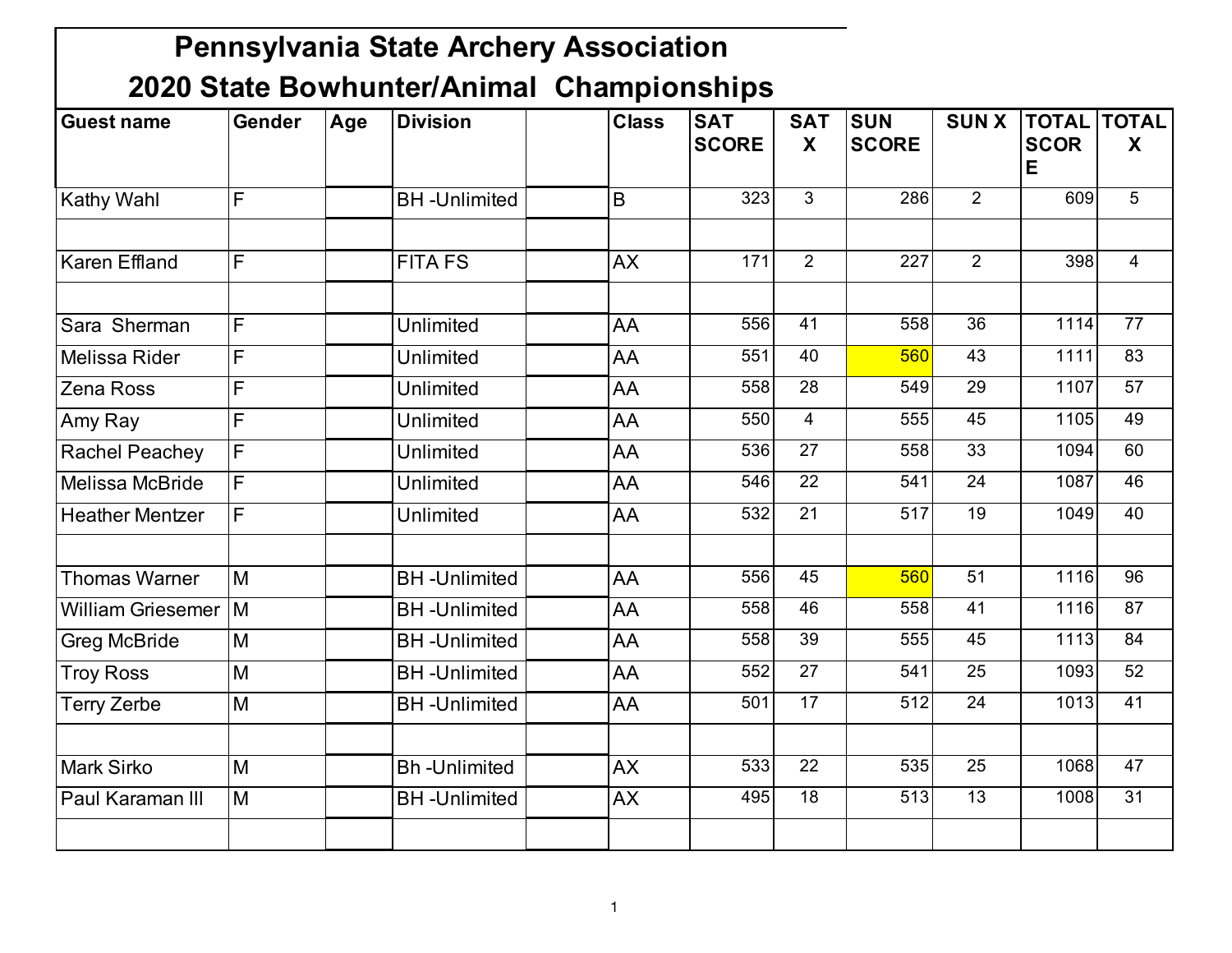| <b>Guest name</b>        | Gender                  | Age | <b>Division</b>     | <b>Class</b> | <b>SAT</b><br><b>SCORE</b> | <b>SAT</b><br>X | <b>SUN</b><br><b>SCORE</b> | <b>SUNX</b>     | <b>SCOR</b> | <b>TOTAL TOTAL</b><br>X |
|--------------------------|-------------------------|-----|---------------------|--------------|----------------------------|-----------------|----------------------------|-----------------|-------------|-------------------------|
|                          |                         |     |                     |              |                            |                 |                            |                 | Е           |                         |
| <b>Kathy Wahl</b>        | F                       |     | <b>BH-Unlimited</b> | B            | 323                        | $\overline{3}$  | 286                        | $\overline{2}$  | 609         | $\overline{5}$          |
|                          |                         |     |                     |              |                            |                 |                            |                 |             |                         |
| <b>Karen Effland</b>     | F                       |     | <b>FITA FS</b>      | <b>AX</b>    | 171                        | 2               | 227                        | $\overline{2}$  | 398         | $\overline{4}$          |
| Sara Sherman             | F                       |     | Unlimited           | AA           | 556                        | 41              | 558                        | 36              | 1114        | 77                      |
| Melissa Rider            | F                       |     | <b>Unlimited</b>    | AA           | 551                        | 40              | 560                        | 43              | 1111        | 83                      |
| <b>Zena Ross</b>         | $\overline{\mathsf{F}}$ |     | <b>Unlimited</b>    | AA           | 558                        | 28              | 549                        | 29              | 1107        | $\overline{57}$         |
| Amy Ray                  | F                       |     | Unlimited           | AA           | 550                        | $\overline{4}$  | 555                        | 45              | 1105        | 49                      |
| <b>Rachel Peachey</b>    | F                       |     | <b>Unlimited</b>    | AA           | 536                        | 27              | 558                        | 33              | 1094        | 60                      |
| Melissa McBride          | F                       |     | Unlimited           | AA           | 546                        | $\overline{22}$ | 541                        | $\overline{24}$ | 1087        | 46                      |
| <b>Heather Mentzer</b>   | F                       |     | Unlimited           | AA           | 532                        | $\overline{21}$ | $\overline{517}$           | $\overline{19}$ | 1049        | 40                      |
| <b>Thomas Warner</b>     | M                       |     | <b>BH-Unlimited</b> | AA           | 556                        | 45              | 560                        | 51              | 1116        | $\overline{96}$         |
| <b>William Griesemer</b> | Iм                      |     | <b>BH-Unlimited</b> | AA           | 558                        | 46              | 558                        | 41              | 1116        | 87                      |
| <b>Greg McBride</b>      | M                       |     | <b>BH-Unlimited</b> | AA           | 558                        | 39              | 555                        | 45              | 1113        | 84                      |
| <b>Troy Ross</b>         | M                       |     | <b>BH-Unlimited</b> | AA           | 552                        | $\overline{27}$ | 541                        | $\overline{25}$ | 1093        | 52                      |
| <b>Terry Zerbe</b>       | M                       |     | <b>BH-Unlimited</b> | AA           | 501                        | 17              | 512                        | 24              | 1013        | 41                      |
|                          |                         |     |                     |              |                            |                 |                            |                 |             |                         |
| <b>Mark Sirko</b>        | M                       |     | <b>Bh-Unlimited</b> | <b>AX</b>    | 533                        | $\overline{22}$ | 535                        | 25              | 1068        | 47                      |
| Paul Karaman III         | M                       |     | <b>BH-Unlimited</b> | <b>AX</b>    | 495                        | 18              | 513                        | 13              | 1008        | 31                      |
|                          |                         |     |                     |              |                            |                 |                            |                 |             |                         |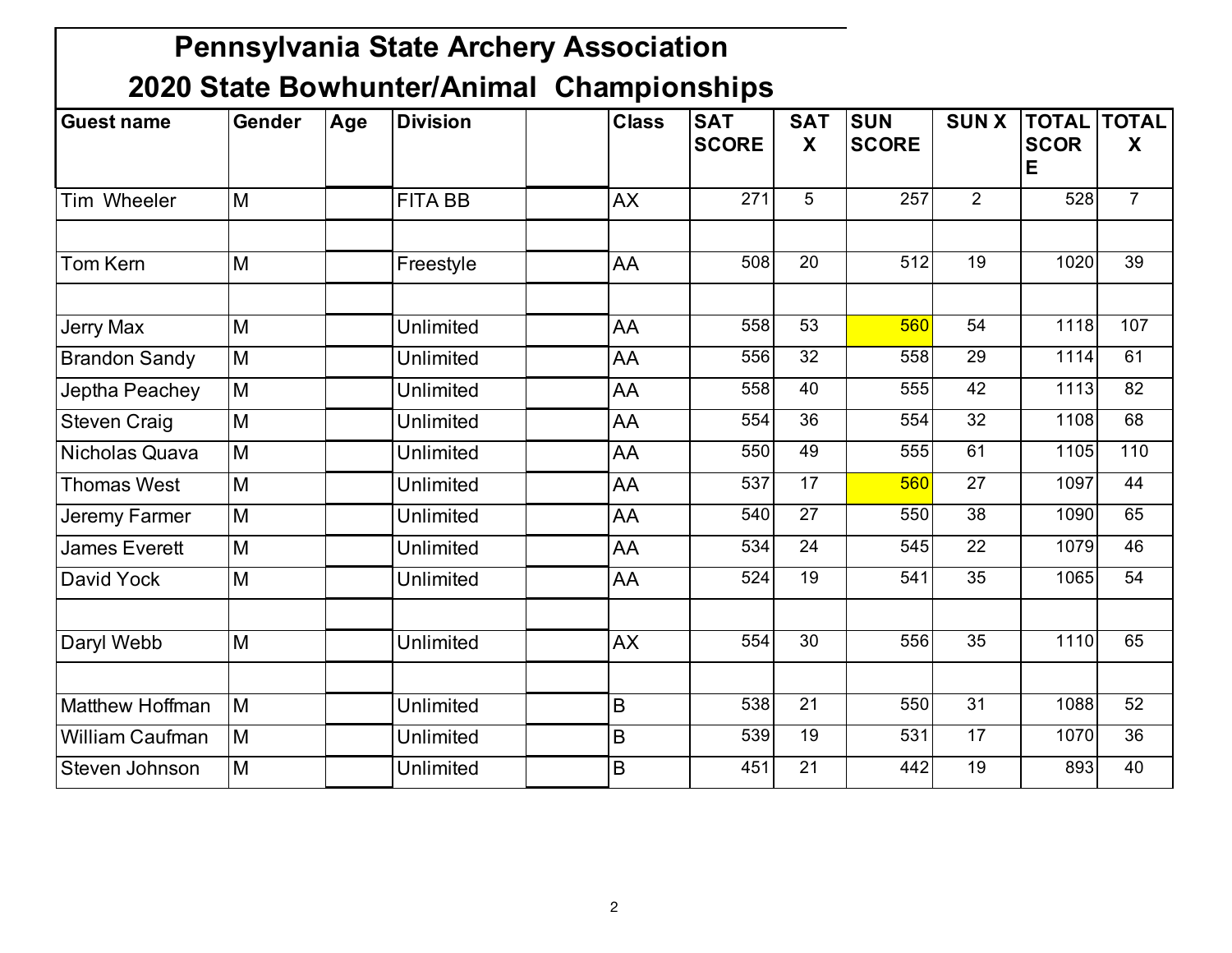| <b>Guest name</b>      | <b>Gender</b> | Age | <b>Division</b>  | <b>Class</b> | <b>SAT</b><br><b>SCORE</b> | <b>SAT</b><br>X | <b>SUN</b><br><b>SCORE</b> | <b>SUNX</b>     | <b>TOTAL</b><br><b>SCOR</b><br>E | <b>TOTAL</b><br>X |
|------------------------|---------------|-----|------------------|--------------|----------------------------|-----------------|----------------------------|-----------------|----------------------------------|-------------------|
| Tim Wheeler            | M             |     | <b>FITA BB</b>   | <b>AX</b>    | 271                        | 5               | 257                        | 2               | 528                              | $\overline{7}$    |
| Tom Kern               | M             |     | Freestyle        | AA           | 508                        | 20              | 512                        | 19              | 1020                             | $\overline{39}$   |
|                        |               |     |                  |              |                            |                 |                            |                 |                                  |                   |
| <b>Jerry Max</b>       | M             |     | <b>Unlimited</b> | AA           | 558                        | 53              | 560                        | 54              | 1118                             | 107               |
| <b>Brandon Sandy</b>   | M             |     | Unlimited        | AA           | 556                        | 32              | 558                        | 29              | 1114                             | 61                |
| Jeptha Peachey         | M             |     | Unlimited        | AA           | 558                        | 40              | 555                        | 42              | 1113                             | 82                |
| <b>Steven Craig</b>    | M             |     | Unlimited        | AA           | 554                        | 36              | 554                        | 32              | 1108                             | 68                |
| Nicholas Quava         | M             |     | Unlimited        | AA           | 550                        | 49              | 555                        | 61              | 1105                             | 110               |
| <b>Thomas West</b>     | M             |     | Unlimited        | AA           | 537                        | 17              | 560                        | 27              | 1097                             | 44                |
| Jeremy Farmer          | M             |     | Unlimited        | AA           | 540                        | $\overline{27}$ | 550                        | $\overline{38}$ | 1090                             | 65                |
| <b>James Everett</b>   | M             |     | Unlimited        | AA           | 534                        | 24              | 545                        | 22              | 1079                             | 46                |
| David Yock             | M             |     | Unlimited        | AA           | 524                        | 19              | 541                        | 35              | 1065                             | 54                |
| Daryl Webb             | M             |     | Unlimited        | <b>AX</b>    | 554                        | 30              | 556                        | 35              | 1110                             | 65                |
| <b>Matthew Hoffman</b> | M             |     | Unlimited        | $\sf B$      | 538                        | $\overline{21}$ | 550                        | $\overline{31}$ | 1088                             | 52                |
| <b>William Caufman</b> | M             |     | <b>Unlimited</b> | $\mathsf B$  | 539                        | 19              | 531                        | 17              | 1070                             | 36                |
| Steven Johnson         | M             |     | Unlimited        | $\mathsf B$  | 451                        | 21              | 442                        | 19              | 893                              | 40                |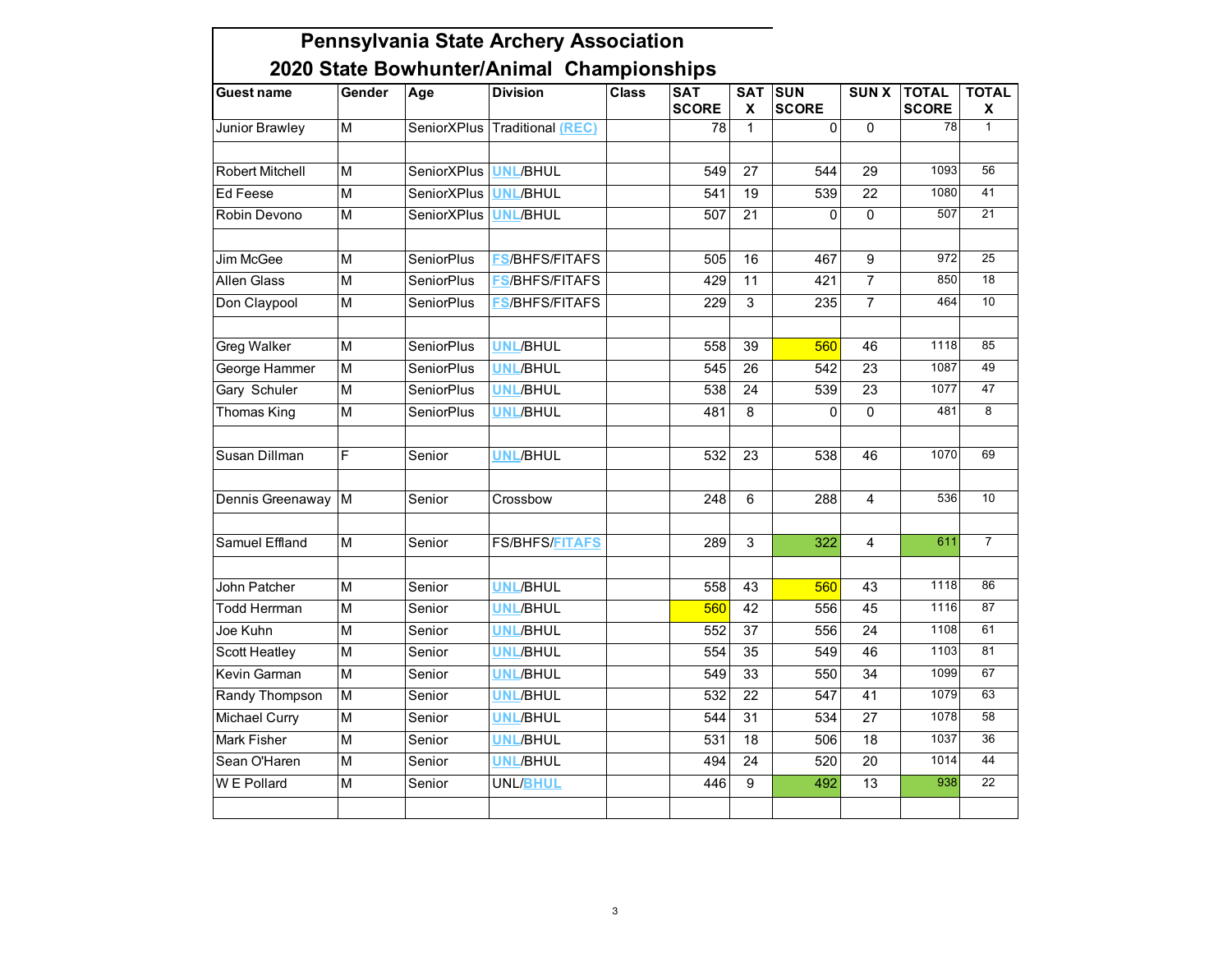| Guest name             | Gender                  | Age                | 2020 State Bownunter/Animal Championships<br><b>Division</b> | <b>Class</b> | <b>SAT</b><br><b>SCORE</b> | <b>SAT</b><br>X | <b>SUN</b><br><b>SCORE</b> | <b>SUNX</b>     | <b>TOTAL</b><br><b>SCORE</b> | <b>TOTAL</b><br>Χ |
|------------------------|-------------------------|--------------------|--------------------------------------------------------------|--------------|----------------------------|-----------------|----------------------------|-----------------|------------------------------|-------------------|
| Junior Brawley         | M                       |                    | SeniorXPlus Traditional (REC)                                |              | 78                         | $\mathbf 1$     | 0                          | $\Omega$        | 78                           | 1                 |
|                        |                         |                    |                                                              |              |                            |                 |                            |                 |                              |                   |
| <b>Robert Mitchell</b> | M                       | <b>SeniorXPlus</b> | <b>UNL/BHUL</b>                                              |              | 549                        | 27              | 544                        | 29              | 1093                         | 56                |
| Ed Feese               | $\overline{M}$          | <b>SeniorXPlus</b> | <b>UNL/BHUL</b>                                              |              | 541                        | 19              | 539                        | $\overline{22}$ | 1080                         | 41                |
| Robin Devono           | $\overline{\mathsf{M}}$ | <b>SeniorXPlus</b> | <b>UNL/BHUL</b>                                              |              | 507                        | $\overline{21}$ | 0                          | $\overline{0}$  | 507                          | $\overline{21}$   |
|                        |                         |                    |                                                              |              |                            |                 |                            |                 |                              |                   |
| Jim McGee              | M                       | <b>SeniorPlus</b>  | <b>FS/BHFS/FITAFS</b>                                        |              | 505                        | 16              | 467                        | $\overline{9}$  | 972                          | $\overline{25}$   |
| <b>Allen Glass</b>     | M                       | <b>SeniorPlus</b>  | <b>FS/BHFS/FITAFS</b>                                        |              | 429                        | 11              | 421                        | $\overline{7}$  | 850                          | 18                |
| Don Claypool           | $\overline{\mathsf{M}}$ | <b>SeniorPlus</b>  | <b>FS/BHFS/FITAFS</b>                                        |              | 229                        | $\overline{3}$  | 235                        | $\overline{7}$  | 464                          | 10                |
| <b>Greg Walker</b>     | $\overline{\mathsf{M}}$ | <b>SeniorPlus</b>  | <b>UNL/BHUL</b>                                              |              | 558                        | 39              | 560                        | 46              | 1118                         | 85                |
| George Hammer          | M                       | <b>SeniorPlus</b>  | <b>UNL/BHUL</b>                                              |              | 545                        | 26              | 542                        | 23              | 1087                         | 49                |
| Gary Schuler           | $\overline{\mathsf{M}}$ |                    | <b>UNL/BHUL</b>                                              |              | 538                        | 24              | 539                        | $\overline{23}$ | 1077                         | 47                |
|                        |                         | <b>SeniorPlus</b>  | <b>UNL/BHUL</b>                                              |              |                            |                 |                            | $\overline{0}$  | 481                          | $\overline{8}$    |
| <b>Thomas King</b>     | $\overline{\mathsf{M}}$ | <b>SeniorPlus</b>  |                                                              |              | 481                        | 8               | 0                          |                 |                              |                   |
| Susan Dillman          | F                       | Senior             | <b>UNL/BHUL</b>                                              |              | 532                        | 23              | 538                        | 46              | 1070                         | 69                |
| Dennis Greenaway       | $\overline{M}$          | Senior             | Crossbow                                                     |              | 248                        | 6               | 288                        | $\overline{4}$  | 536                          | 10                |
|                        |                         |                    |                                                              |              |                            |                 |                            |                 |                              |                   |
| Samuel Effland         | М                       | Senior             | <b>FS/BHFS/FITAFS</b>                                        |              | 289                        | 3               | 322                        | 4               | 611                          | $\overline{7}$    |
|                        |                         |                    |                                                              |              |                            |                 |                            |                 |                              |                   |
| John Patcher           | $\overline{M}$          | Senior             | <b>UNL/BHUL</b>                                              |              | 558                        | 43              | 560                        | 43              | 1118                         | 86                |
| <b>Todd Herrman</b>    | M                       | Senior             | <b>UNL/BHUL</b>                                              |              | 560                        | 42              | 556                        | $\overline{45}$ | 1116                         | 87                |
| Joe Kuhn               | M                       | Senior             | <b>UNL/BHUL</b>                                              |              | 552                        | 37              | 556                        | 24              | 1108                         | 61                |
| <b>Scott Heatley</b>   | $\overline{\mathsf{M}}$ | Senior             | <b>UNL/BHUL</b>                                              |              | 554                        | 35              | 549                        | 46              | 1103                         | 81                |
| Kevin Garman           | $\overline{M}$          | Senior             | <b>UNL/BHUL</b>                                              |              | 549                        | 33              | 550                        | $\overline{34}$ | 1099                         | 67                |
| Randy Thompson         | M                       | Senior             | <b>UNL/BHUL</b>                                              |              | 532                        | $\overline{22}$ | 547                        | 41              | 1079                         | 63                |
| <b>Michael Curry</b>   | $\overline{\mathsf{M}}$ | Senior             | <b>UNL/BHUL</b>                                              |              | 544                        | 31              | 534                        | $\overline{27}$ | 1078                         | 58                |
| <b>Mark Fisher</b>     | $\overline{\mathsf{M}}$ | Senior             | <b>UNL/BHUL</b>                                              |              | 531                        | 18              | 506                        | $\overline{18}$ | 1037                         | 36                |
| Sean O'Haren           | $\overline{\mathsf{M}}$ | Senior             | <b>UNL/BHUL</b>                                              |              | 494                        | $\overline{24}$ | 520                        | 20              | 1014                         | 44                |
| W E Pollard            | М                       | Senior             | <b>UNL/BHUL</b>                                              |              | 446                        | 9               | 492                        | 13              | 938                          | 22                |
|                        |                         |                    |                                                              |              |                            |                 |                            |                 |                              |                   |